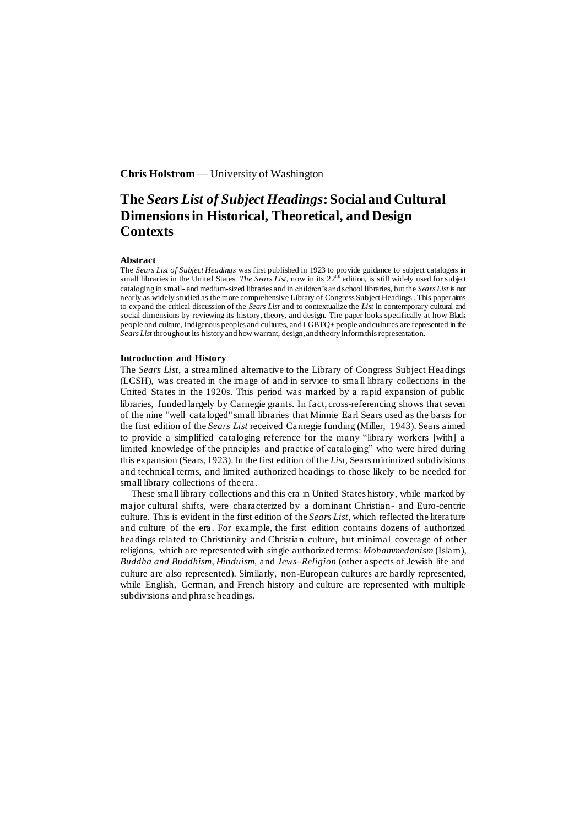## **Chris Holstrom** — University of Washington

# **The** *Sears List of Subject Headings***: Social and Cultural Dimensions in Historical, Theoretical, and Design Contexts**

## **Abstract**

The *Sears List of Subject Headings* was first published in 1923 to provide guidance to subject catalogers in small libraries in the United States. *The Sears List*, now in its 22<sup>nd</sup> edition, is still widely used for subject cataloging in small- and medium-sized libraries and in children's and school libraries, but the *Sears List* is not nearly as widely studied as the more comprehensive Library of Congress Subject Headings. This paper aims to expand the critical discussion of the *Sears List* and to contextualize the *List* in contemporary cultural and social dimensions by reviewing its history, theory, and design. The paper looks specifically at how Black people and culture, Indigenous peoples and cultures, and LGBTQ+ people and cultures are represented in the *Sears List* throughout its history and how warrant, design, and theory inform this representation.

#### **Introduction and History**

The *Sears List*, a streamlined alternative to the Library of Congress Subject Headings (LCSH), was created in the image of and in service to sma ll library collections in the United States in the 1920s. This period was marked by a rapid expansion of public libraries, funded largely by Carnegie grants. In fact, cross-referencing shows that seven of the nine "well cataloged" small libraries that Minnie Earl Sears used as the basis for the first edition of the *Sears List* received Carnegie funding (Miller, 1943). Sears aimed to provide a simplified cataloging reference for the many "library workers [with] a limited knowledge of the principles and practice of cataloging" who were hired during this expansion (Sears, 1923). In the first edition of the *List*, Sears minimized subdivisions and technical terms, and limited authorized headings to those likely to be needed for small library collections of the era.

These small library collections and this era in United States history, while marked by major cultural shifts, were characterized by a dominant Christian- and Euro-centric culture. This is evident in the first edition of the *Sears List*, which reflected the literature and culture of the era . For example, the first edition contains dozens of authorized headings related to Christianity and Christian culture, but minimal coverage of other religions, which are represented with single authorized terms: *Mohammedanism* (Islam), *Buddha and Buddhism*, *Hinduism*, and *Jews–Religion* (other aspects of Jewish life and culture are also represented). Similarly, non-European cultures are hardly represented, while English, German, and French history and culture are represented with multiple subdivisions and phrase headings.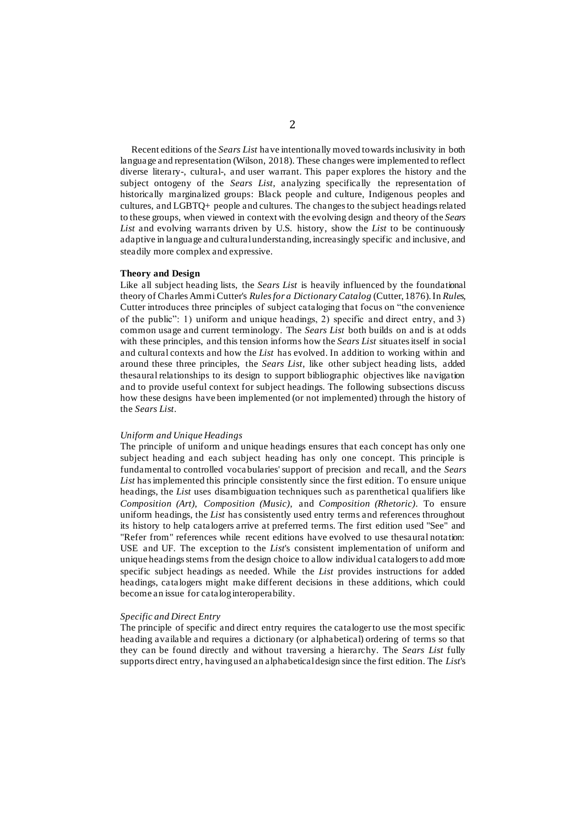Recent editions of the *Sears List* have intentionally moved towards inclusivity in both language and representation (Wilson, 2018). These changes were implemented to reflect diverse literary-, cultural-, and user warrant. This paper explores the history and the subject ontogeny of the *Sears List*, analyzing specifically the representation of historically marginalized groups: Black people and culture, Indigenous peoples and cultures, and LGBTQ+ people and cultures. The changes to the subject headingsrelated to these groups, when viewed in context with the evolving design and theory of the *Sears List* and evolving warrants driven by U.S. history, show the *List* to be continuously adaptive in language and cultural understanding, increasingly specific and inclusive, and steadily more complex and expressive.

## **Theory and Design**

Like all subject heading lists, the *Sears List* is heavily influenced by the foundational theory of Charles Ammi Cutter's *Rules for a Dictionary Catalog* (Cutter, 1876). In *Rules*, Cutter introduces three principles of subject cataloging that focus on "the convenience of the public": 1) uniform and unique headings, 2) specific and direct entry, and 3) common usage and current terminology. The *Sears List* both builds on and is at odds with these principles, and this tension informs how the *Sears List* situates itself in social and cultural contexts and how the *List* has evolved. In addition to working within and around these three principles, the *Sears List*, like other subject heading lists, added thesaural relationships to its design to support bibliographic objectives like navigation and to provide useful context for subject headings. The following subsections discuss how these designs have been implemented (or not implemented) through the history of the *Sears List*.

## *Uniform and Unique Headings*

The principle of uniform and unique headings ensures that each concept has only one subject heading and each subject heading has only one concept. This principle is fundamental to controlled voca bularies' support of precision and recall, and the *Sears List* has implemented this principle consistently since the first edition. To ensure unique headings, the *List* uses disambiguation techniques such as parenthetical qualifiers like *Composition (Art)*, *Composition (Music)*, and *Composition (Rhetoric)*. To ensure uniform headings, the *List* has consistently used entry terms and references throughout its history to help catalogers arrive at preferred terms. The first edition used "See" and "Refer from" references while recent editions have evolved to use thesaural notation: USE and UF. The exception to the *List*'s consistent implementation of uniform and unique headings stems from the design choice to allow individual catalogers to add more specific subject headings as needed. While the *List* provides instructions for added headings, catalogers might make different decisions in these additions, which could become an issue for catalog interoperability.

## *Specific and Direct Entry*

The principle of specific and direct entry requires the cataloger to use the most specific heading available and requires a dictionary (or alphabetical) ordering of terms so that they can be found directly and without traversing a hierarchy. The *Sears List* fully supports direct entry, having used an alphabetical design since the first edition. The *List*'s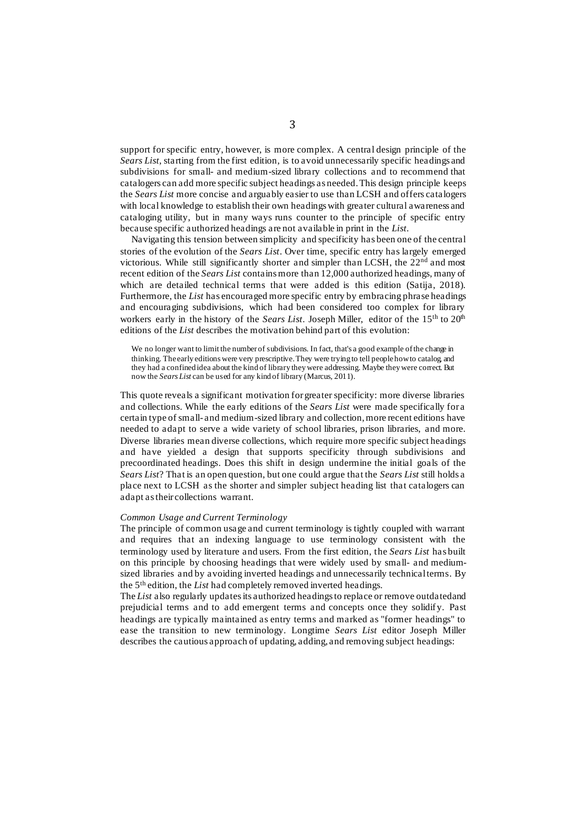support for specific entry, however, is more complex. A central design principle of the *Sears List,* starting from the first edition, is to avoid unnecessarily specific headings and subdivisions for small- and medium-sized library collections and to recommend that catalogers can add more specific subject headings as needed. This design principle keeps the *Sears List* more concise and arguably easier to use than LCSH and offers catalogers with local knowledge to establish their own headings with greater cultural awareness and cataloging utility, but in many ways runs counter to the principle of specific entry because specific authorized headings are not available in print in the *List*.

Navigating this tension between simplicity and specificity has been one of the central stories of the evolution of the *Sears List*. Over time, specific entry has largely emerged victorious. While still significantly shorter and simpler than LCSH, the 22nd and most recent edition of the *Sears List* contains more than 12,000 authorized headings, many of which are detailed technical terms that were added is this edition (Satija, 2018). Furthermore, the *List* has encouraged more specific entry by embracing phrase headings and encouraging subdivisions, which had been considered too complex for library workers early in the history of the *Sears List*. Joseph Miller, editor of the 15<sup>th</sup> to 20<sup>th</sup> editions of the *List* describes the motivation behind part of this evolution:

We no longer want to limit the number of subdivisions. In fact, that's a good example of the change in thinking. The early editions were very prescriptive. They were trying to tell people how to catalog, and they had a confined idea about the kind of library they were addressing. Maybe they were correct. But now the *Sears List* can be used for any kind of library (Marcus, 2011).

This quote reveals a significant motivation for greater specificity: more diverse libraries and collections. While the early editions of the *Sears List* were made specifically for a certain type of small- and medium-sized library and collection, more recent editions have needed to adapt to serve a wide variety of school libraries, prison libraries, and more. Diverse libraries mean diverse collections, which require more specific subject headings and have yielded a design that supports specificity through subdivisions and precoordinated headings. Does this shift in design undermine the initial goals of the *Sears List*? That is an open question, but one could argue that the *Sears List* still holds a place next to LCSH as the shorter and simpler subject heading list that catalogers can adapt as their collections warrant.

## *Common Usage and Current Terminology*

The principle of common usage and current terminology is tightly coupled with warrant and requires that an indexing language to use terminology consistent with the terminology used by literature and users. From the first edition, the *Sears List* has built on this principle by choosing headings that were widely used by small- and mediumsized libraries and by avoiding inverted headings and unnecessarily technical terms. By the 5th edition, the *List* had completely removed inverted headings.

The *List* also regularly updates its authorized headings to replace or remove outdated and prejudicial terms and to add emergent terms and concepts once they solidif y. Past headings are typically maintained as entry terms and marked as "former headings" to ease the transition to new terminology. Longtime *Sears List* editor Joseph Miller describes the cautious approach of updating, adding, and removing subject headings: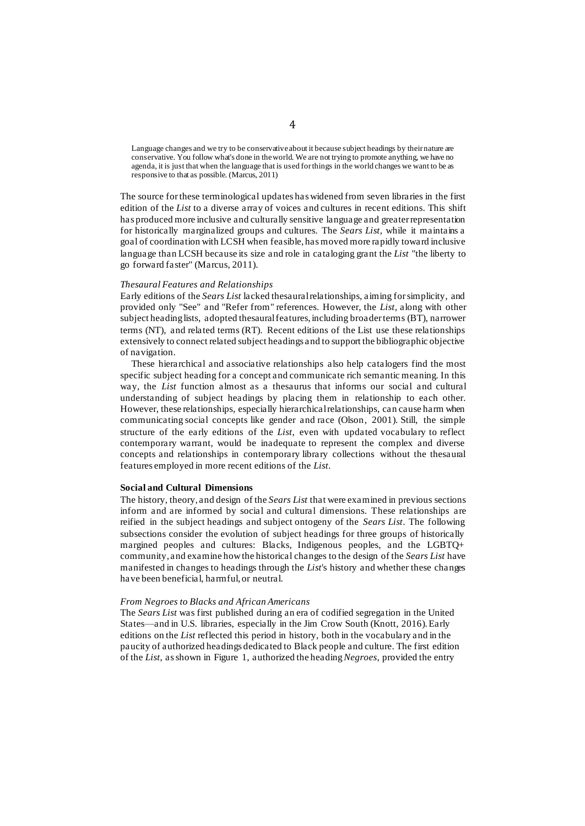Language changes and we try to be conservative about it because subject headings by their nature are conservative. You follow what's done in the world. We are not trying to promote anything, we have no agenda, it is just that when the language that is used for things in the world changes we want to be as responsive to that as possible. (Marcus, 2011)

The source forthese terminological updates has widened from seven libraries in the first edition of the *List* to a diverse array of voices and cultures in recent editions. This shift has produced more inclusive and culturally sensitive language and greater representation for historically marginalized groups and cultures. The *Sears List*, while it maintains a goal of coordination with LCSH when feasible, has moved more rapidly toward inclusive language than LCSH because its size and role in cataloging grant the *List* "the liberty to go forward faster" (Marcus, 2011).

#### *Thesaural Features and Relationships*

Early editions of the *Sears List* lacked thesaural relationships, aiming for simplicity, and provided only "See" and "Refer from" references. However, the *List*, along with other subject heading lists, adopted thesaural features, including broader terms (BT), narrower terms (NT), and related terms (RT). Recent editions of the List use these relationships extensively to connect related subject headings and to support the bibliographic objective of navigation.

These hierarchical and associative relationships also help catalogers find the most specific subject heading for a concept and communicate rich semantic meaning. In this way, the *List* function almost as a thesaurus that informs our social and cultural understanding of subject headings by placing them in relationship to each other. However, these relationships, especially hierarchical relationships, can cause harm when communicating social concepts like gender and race (Olson, 2001). Still, the simple structure of the early editions of the *List*, even with updated vocabulary to reflect contemporary warrant, would be inadequate to represent the complex and diverse concepts and relationships in contemporary library collections without the thesaural features employed in more recent editions of the *List*.

## **Social and Cultural Dimensions**

The history, theory, and design of the *Sears List* that were examined in previous sections inform and are informed by social and cultural dimensions. These relationships are reified in the subject headings and subject ontogeny of the *Sears List*. The following subsections consider the evolution of subject headings for three groups of historically margined peoples and cultures: Blacks, Indigenous peoples, and the LGBTQ+ community, and examine how the historical changes to the design of the *Sears List* have manifested in changes to headings through the *List*'s history and whether these changes have been beneficial, harmful, or neutral.

#### *From Negroes to Blacks and African Americans*

The *Sears List* was first published during an era of codified segregation in the United States—and in U.S. libraries, especially in the Jim Crow South (Knott, 2016). Early editions on the *List* reflected this period in history, both in the vocabulary and in the paucity of authorized headings dedicated to Black people and culture. The first edition of the *List*, as shown in Figure 1, authorized the heading *Negroes*, provided the entry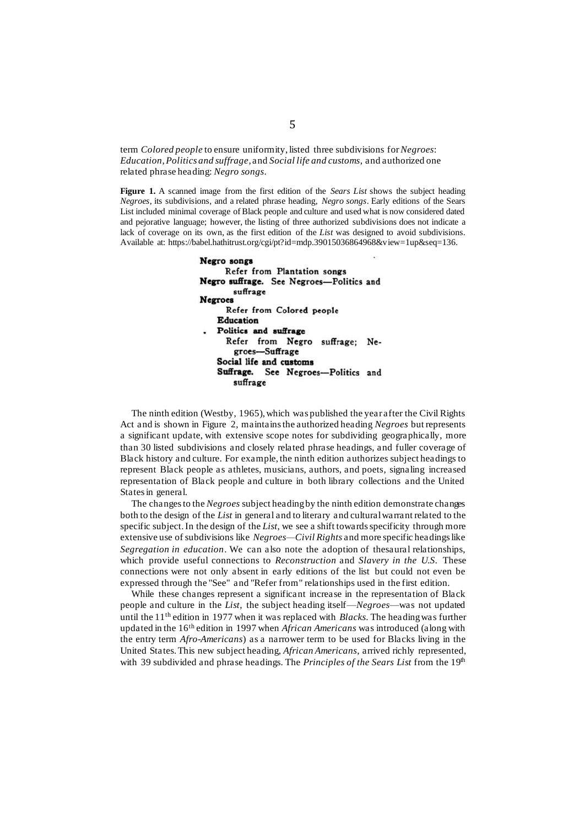term *Colored people* to ensure uniformity, listed three subdivisions for *Negroes*: *Education*, *Politics and suffrage*, and *Social life and customs*, and authorized one related phrase heading: *Negro songs*.

**Figure 1.** A scanned image from the first edition of the *Sears List* shows the subject heading *Negroes*, its subdivisions, and a related phrase heading, *Negro songs*. Early editions of the Sears List included minimal coverage of Black people and culture and used what is now considered dated and pejorative language; however, the listing of three authorized subdivisions does not indicate a lack of coverage on its own, as the first edition of the *List* was designed to avoid subdivisions. Available at: https://babel.hathitrust.org/cgi/pt?id=mdp.39015036864968&view=1up&seq=136.

> Negro songs Refer from Plantation songs Negro suffrage. See Negroes-Politics and suffrage **Negroes** Refer from Colored people **Education** Politics and suffrage Refer from Negro suffrage; Negroes-Suffrage Social life and customs Suffrage. See Negroes-Politics and suffrage

The ninth edition (Westby, 1965), which was published the year after the Civil Rights Act and is shown in Figure 2, maintains the authorized heading *Negroes* but represents a significant update, with extensive scope notes for subdividing geographically, more than 30 listed subdivisions and closely related phrase headings, and fuller coverage of Black history and culture. For example, the ninth edition authorizes subject headings to represent Black people as athletes, musicians, authors, and poets, signaling increased representation of Black people and culture in both library collections and the United States in general.

The changes to the *Negroes* subject heading by the ninth edition demonstrate changes both to the design of the *List* in general and to literary and cultural warrant related to the specific subject. In the design of the *List*, we see a shift towards specificity through more extensive use of subdivisions like *Negroes—Civil Rights* and more specific headings like *Segregation in education*. We can also note the adoption of thesaural relationships, which provide useful connections to *Reconstruction* and *Slavery in the U.S.* These connections were not only absent in early editions of the list but could not even be expressed through the "See" and "Refer from" relationships used in the first edition.

While these changes represent a significant increase in the representation of Black people and culture in the *List*, the subject heading itself—*Negroes*—was not updated until the 11th edition in 1977 when it was replaced with *Blacks*. The heading was further updated in the 16th edition in 1997 when *African Americans* was introduced (along with the entry term *Afro-Americans*) as a narrower term to be used for Blacks living in the United States. This new subject heading, *African Americans*, arrived richly represented, with 39 subdivided and phrase headings. The *Principles of the Sears List* from the 19<sup>th</sup>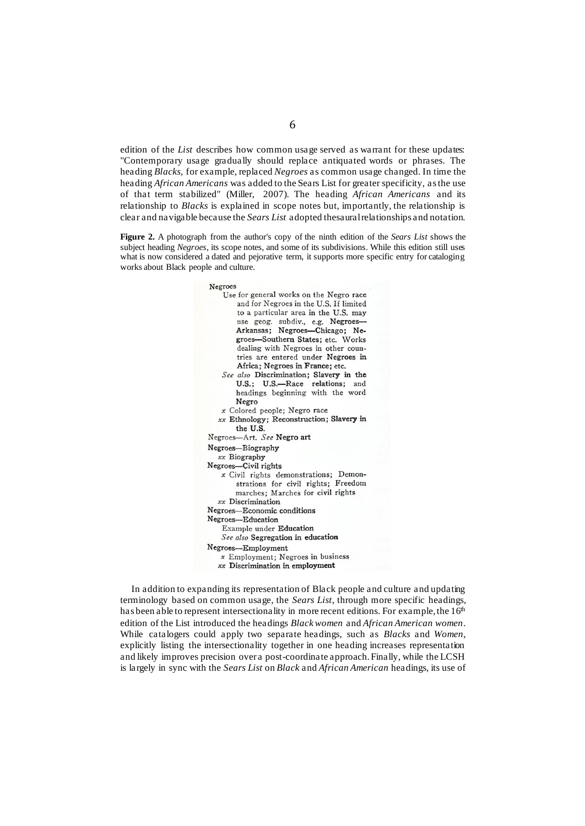edition of the *List* describes how common usage served as warrant for these updates: "Contemporary usage gradually should replace antiquated words or phrases. The heading *Blacks*, for example, replaced *Negroes* as common usage changed. In time the heading *African Americans* was added to the Sears List for greater specificity, as the use of that term stabilized" (Miller, 2007). The heading *African Americans* and its relationship to *Blacks* is explained in scope notes but, importantly, the relationship is clear and navigable because the *Sears List* adopted thesaural relationships and notation.

**Figure 2.** A photograph from the author's copy of the ninth edition of the *Sears List* shows the subject heading *Negroes*, its scope notes, and some of its subdivisions. While this edition still uses what is now considered a dated and pejorative term, it supports more specific entry for cataloging works about Black people and culture.

> Negroes Use for general works on the Negro race and for Negroes in the U.S. If limited to a particular area in the U.S. may use geog. subdiv., e.g. Negroes-Arkansas; Negroes-Chicago; Negroes-Southern States; etc. Works dealing with Negroes in other countries are entered under Negroes in Africa; Negroes in France; etc. See also Discrimination; Slavery in the U.S.; U.S.-Race relations; and headings beginning with the word Negro x Colored people; Negro race xx Ethnology; Reconstruction; Slavery in the U.S. Negroes-Art. See Negro art Negroes-Biography xx Biography Negroes-Civil rights x Civil rights demonstrations; Demonstrations for civil rights; Freedom marches; Marches for civil rights xx Discrimination Negroes-Economic conditions Negroes-Education Example under Education See also Segregation in education Negroes-Employment x Employment; Negroes in business xx Discrimination in employment

In addition to expanding its representation of Black people and culture and updating terminology based on common usage, the *Sears List*, through more specific headings, has been able to represent intersectionality in more recent editions. For example, the  $16<sup>th</sup>$ edition of the List introduced the headings *Black women* and *African American women*. While catalogers could apply two separate headings, such as *Blacks* and *Women*, explicitly listing the intersectionality together in one heading increases representation and likely improves precision over a post-coordinate approach. Finally, while the LCSH is largely in sync with the *Sears List* on *Black* and *African American* headings, its use of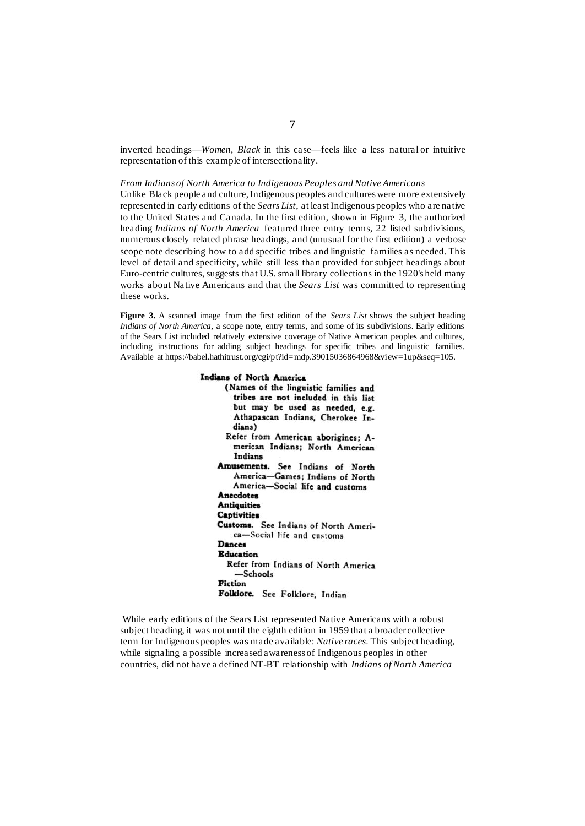inverted headings—*Women, Black* in this case—feels like a less natural or intuitive representation of this example of intersectionality.

#### *From Indians of North America to Indigenous Peoples and Native Americans*

Unlike Black people and culture, Indigenous peoples and cultures were more extensively represented in early editions of the *Sears List*, at least Indigenous peoples who are native to the United States and Canada. In the first edition, shown in Figure 3, the authorized heading *Indians of North America* featured three entry terms, 22 listed subdivisions, numerous closely related phrase headings, and (unusual for the first edition) a verbose scope note describing how to add specific tribes and linguistic families as needed. This level of detail and specificity, while still less than provided for subject headings about Euro-centric cultures, suggests that U.S. small library collections in the 1920's held many works about Native Americans and that the *Sears List* was committed to representing these works.

**Figure 3.** A scanned image from the first edition of the *Sears List* shows the subject heading *Indians of North America*, a scope note, entry terms, and some of its subdivisions. Early editions of the Sears List included relatively extensive coverage of Native American peoples and cultures, including instructions for adding subject headings for specific tribes and linguistic families. Available at https://babel.hathitrust.org/cgi/pt?id=mdp.39015036864968&view=1up&seq=105.

## Indians of North America (Names of the linguistic families and tribes are not included in this list but may be used as needed, e.g. Athapascan Indians, Cherokee Indians) Refer from American aborigines; American Indians; North American Indians Amusements. See Indians of North America-Games; Indians of North America-Social life and customs Anecdotes **Antiquities Captivities** Customs. See Indians of North America-Social life and customs Dances **Education** Refer from Indians of North America  $-$ Schools **Fiction** Folklore. See Folklore, Indian

While early editions of the Sears List represented Native Americans with a robust subject heading, it was not until the eighth edition in 1959 that a broader collective term for Indigenous peoples was made available: *Native races*. This subject heading, while signaling a possible increased awareness of Indigenous peoples in other countries, did not have a defined NT-BT relationship with *Indians of North America*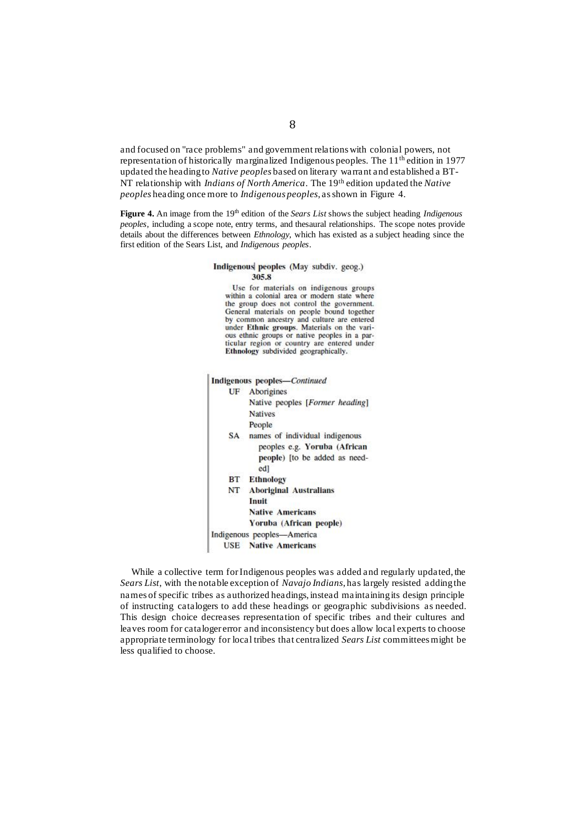and focused on "race problems" and government relations with colonial powers, not representation of historically marginalized Indigenous peoples. The 11th edition in 1977 updated the heading to *Native peoples* based on literary warrant and established a BT-NT relationship with *Indians of North America*. The 19th edition updated the *Native peoples* heading once more to *Indigenous peoples*, as shown in Figure 4.

**Figure 4.** An image from the 19<sup>th</sup> edition of the *Sears List* shows the subject heading *Indigenous peoples*, including a scope note, entry terms, and thesaural relationships. The scope notes provide details about the differences between *Ethnology*, which has existed as a subject heading since the first edition of the Sears List, and *Indigenous peoples*.

## Indigenous peoples (May subdiv. geog.) 305.8 Use for materials on indigenous groups within a colonial area or modern state where the group does not control the government. General materials on people bound together by common ancestry and culture are entered under Ethnic groups. Materials on the various ethnic groups or native peoples in a particular region or country are entered under Ethnology subdivided geographically. **Indigenous peoples-Continued UF** Aborigines Native peoples [Former heading] **Natives** People SA names of individual indigenous peoples e.g. Yoruba (African people) [to be added as needed] **BT** Ethnology **Aboriginal Australians** NT. Inuit **Native Americans** Yoruba (African people) Indigenous peoples-America **USE** Native Americans

While a collective term for Indigenous peoples was added and regularly updated, the *Sears List*, with the notable exception of *Navajo Indians*, has largely resisted adding the names of specific tribes as authorized headings, instead maintaining its design principle of instructing catalogers to add these headings or geographic subdivisions as needed. This design choice decreases representation of specific tribes and their cultures and leaves room for cataloger error and inconsistency but does allow local experts to choose appropriate terminology for local tribes that centralized *Sears List* committees might be less qualified to choose.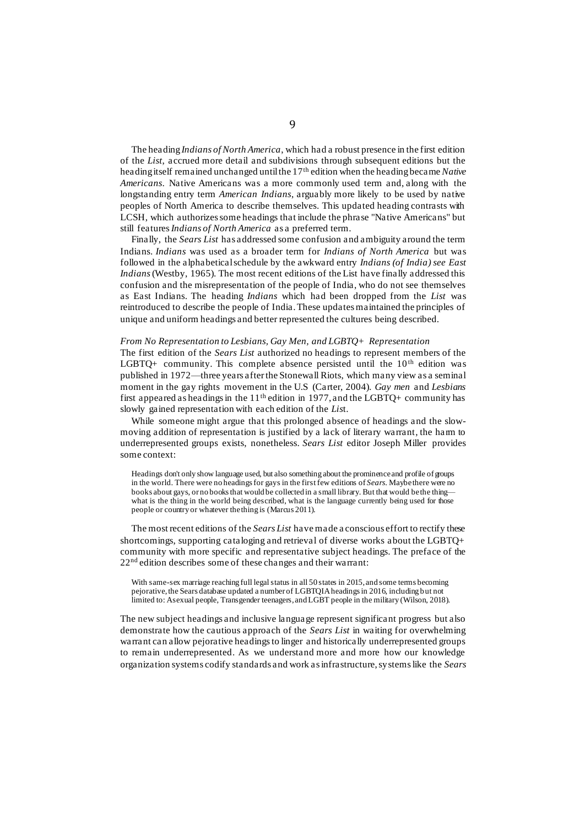The heading *Indians of North America*, which had a robust presence in the first edition of the *List*, accrued more detail and subdivisions through subsequent editions but the heading itself remained unchanged until the 17th edition when the heading became *Native Americans*. Native Americans was a more commonly used term and, along with the longstanding entry term *American Indians*, arguably more likely to be used by native peoples of North America to describe themselves. This updated heading contrasts with LCSH, which authorizes some headings that include the phrase "Native Americans" but still features *Indians of North America* as a preferred term.

Finally, the *Sears List* has addressed some confusion and ambiguity around the term Indians. *Indians* was used as a broader term for *Indians of North America* but was followed in the alphabetical schedule by the awkward entry *Indians (of India) see East Indians*(Westby, 1965). The most recent editions of the List have finally addressed this confusion and the misrepresentation of the people of India, who do not see themselves as East Indians. The heading *Indians* which had been dropped from the *List* was reintroduced to describe the people of India. These updates maintained the principles of unique and uniform headings and better represented the cultures being described.

## *From No Representation to Lesbians, Gay Men, and LGBTQ+ Representation*

The first edition of the *Sears List* authorized no headings to represent members of the LGBTQ+ community. This complete absence persisted until the  $10<sup>th</sup>$  edition was published in 1972—three years after the Stonewall Riots, which many view as a seminal moment in the gay rights movement in the U.S (Carter, 2004). *Gay men* and *Lesbians* first appeared as headings in the  $11<sup>th</sup>$  edition in 1977, and the LGBTQ+ community has slowly gained representation with each edition of the *Lis*t.

While someone might argue that this prolonged absence of headings and the slowmoving addition of representation is justified by a lack of literary warrant, the harm to underrepresented groups exists, nonetheless. *Sears List* editor Joseph Miller provides some context:

Headings don't only show language used, but also something about the prominence and profile of groups in the world. There were no headings for gays in the first few editions of *Sears*. Maybe there were no books about gays, or no books that would be collected in a small library. But that would be the thing what is the thing in the world being described, what is the language currently being used for those people or country or whatever the thing is (Marcus 2011).

The most recent editions of the *Sears List* have made a conscious effort to rectify these shortcomings, supporting cataloging and retrieval of diverse works about the LGBTQ+ community with more specific and representative subject headings. The preface of the 22nd edition describes some of these changes and their warrant:

With same-sex marriage reaching full legal status in all 50 states in 2015, and some terms becoming pejorative, the Sears database updated a number of LGBTQIA headings in 2016, including but not limited to: Asexual people, Transgender teenagers, and LGBT people in the military (Wilson, 2018).

The new subject headings and inclusive language represent significant progress but also demonstrate how the cautious approach of the *Sears List* in waiting for overwhelming warrant can allow pejorative headings to linger and historically underrepresented groups to remain underrepresented. As we understand more and more how our knowledge organization systems codify standards and work as infrastructure, systems like the *Sears*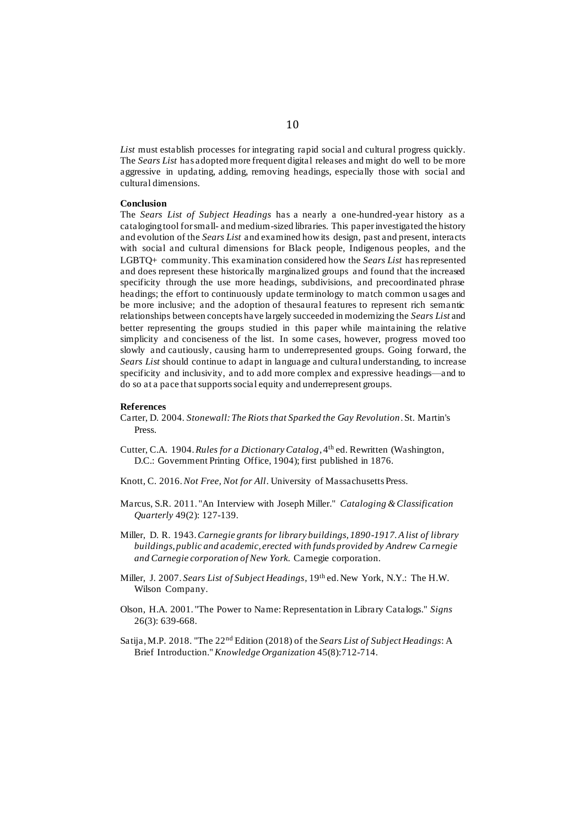*List* must establish processes for integrating rapid social and cultural progress quickly. The *Sears List* has adopted more frequent digital releases and might do well to be more aggressive in updating, adding, removing headings, especially those with social and cultural dimensions.

## **Conclusion**

The *Sears List of Subject Headings* has a nearly a one-hundred-year history as a cataloging tool for small- and medium-sized libraries. This paper investigated the history and evolution of the *Sears List* and examined how its design, past and present, interacts with social and cultural dimensions for Black people, Indigenous peoples, and the LGBTQ+ community. This examination considered how the *Sears List* hasrepresented and does represent these historically marginalized groups and found that the increased specificity through the use more headings, subdivisions, and precoordinated phrase headings; the effort to continuously update terminology to match common u sages and be more inclusive; and the adoption of thesaural features to represent rich semantic relationships between concepts have largely succeeded in modernizing the *Sears List* and better representing the groups studied in this paper while maintaining the relative simplicity and conciseness of the list. In some cases, however, progress moved too slowly and cautiously, causing harm to underrepresented groups. Going forward, the *Sears List* should continue to adapt in language and cultural understanding, to increase specificity and inclusivity, and to add more complex and expressive headings—and to do so at a pace that supports social equity and underrepresent groups.

#### **References**

- Carter, D. 2004. *Stonewall: The Riots that Sparked the Gay Revolution*. St. Martin's Press.
- Cutter, C.A. 1904.*Rules for a Dictionary Catalog*, 4th ed. Rewritten (Washington, D.C.: Government Printing Office, 1904); first published in 1876.
- Knott, C. 2016. *Not Free, Not for All*. University of Massachusetts Press.
- Marcus, S.R. 2011. "An Interview with Joseph Miller." *Cataloging & Classification Quarterly* 49(2): 127-139.
- Miller, D. R. 1943.*Carnegie grants for library buildings, 1890-1917. A list of library buildings, public and academic, erected with funds provided by Andrew Ca rnegie and Carnegie corporation of New York.* Carnegie corporation.
- Miller, J. 2007. *Sears List of Subject Headings*, 19th ed. New York, N.Y.: The H.W. Wilson Company.
- Olson, H.A. 2001. "The Power to Name: Representation in Library Catalogs." *Signs* 26(3): 639-668.
- Satija, M.P. 2018. "The 22nd Edition (2018) of the *Sears List of Subject Headings*: A Brief Introduction." *Knowledge Organization* 45(8):712-714.